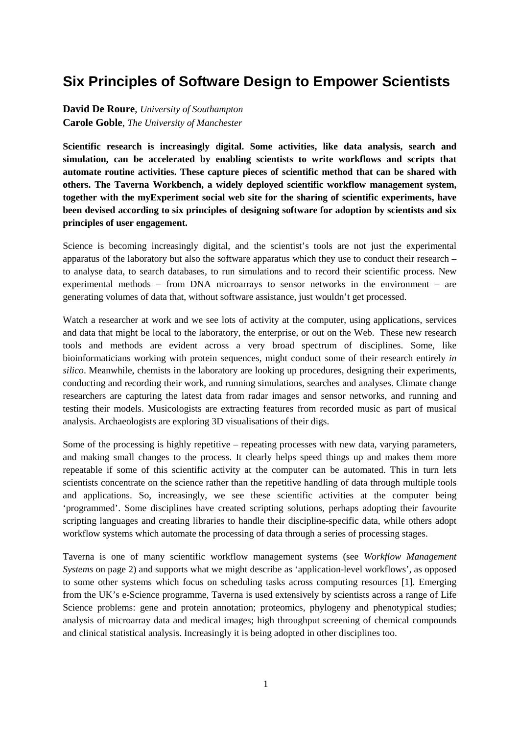## **Six Principles of Software Design to Empower Scientists**

**David De Roure**, *University of Southampton* **Carole Goble**, *The University of Manchester* 

**Scientific research is increasingly digital. Some activities, like data analysis, search and simulation, can be accelerated by enabling scientists to write workflows and scripts that automate routine activities. These capture pieces of scientific method that can be shared with others. The Taverna Workbench, a widely deployed scientific workflow management system, together with the myExperiment social web site for the sharing of scientific experiments, have been devised according to six principles of designing software for adoption by scientists and six principles of user engagement.** 

Science is becoming increasingly digital, and the scientist's tools are not just the experimental apparatus of the laboratory but also the software apparatus which they use to conduct their research – to analyse data, to search databases, to run simulations and to record their scientific process. New experimental methods – from DNA microarrays to sensor networks in the environment – are generating volumes of data that, without software assistance, just wouldn't get processed.

Watch a researcher at work and we see lots of activity at the computer, using applications, services and data that might be local to the laboratory, the enterprise, or out on the Web. These new research tools and methods are evident across a very broad spectrum of disciplines. Some, like bioinformaticians working with protein sequences, might conduct some of their research entirely *in silico*. Meanwhile, chemists in the laboratory are looking up procedures, designing their experiments, conducting and recording their work, and running simulations, searches and analyses. Climate change researchers are capturing the latest data from radar images and sensor networks, and running and testing their models. Musicologists are extracting features from recorded music as part of musical analysis. Archaeologists are exploring 3D visualisations of their digs.

Some of the processing is highly repetitive – repeating processes with new data, varying parameters, and making small changes to the process. It clearly helps speed things up and makes them more repeatable if some of this scientific activity at the computer can be automated. This in turn lets scientists concentrate on the science rather than the repetitive handling of data through multiple tools and applications. So, increasingly, we see these scientific activities at the computer being 'programmed'. Some disciplines have created scripting solutions, perhaps adopting their favourite scripting languages and creating libraries to handle their discipline-specific data, while others adopt workflow systems which automate the processing of data through a series of processing stages.

Taverna is one of many scientific workflow management systems (see *Workflow Management Systems* on page 2) and supports what we might describe as 'application-level workflows', as opposed to some other systems which focus on scheduling tasks across computing resources [1]. Emerging from the UK's e-Science programme, Taverna is used extensively by scientists across a range of Life Science problems: gene and protein annotation; proteomics, phylogeny and phenotypical studies; analysis of microarray data and medical images; high throughput screening of chemical compounds and clinical statistical analysis. Increasingly it is being adopted in other disciplines too.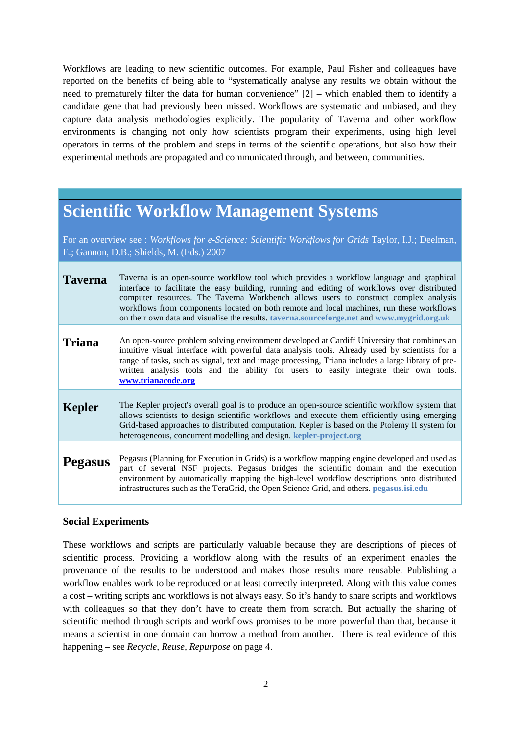Workflows are leading to new scientific outcomes. For example, Paul Fisher and colleagues have reported on the benefits of being able to "systematically analyse any results we obtain without the need to prematurely filter the data for human convenience" [2] – which enabled them to identify a candidate gene that had previously been missed. Workflows are systematic and unbiased, and they capture data analysis methodologies explicitly. The popularity of Taverna and other workflow environments is changing not only how scientists program their experiments, using high level operators in terms of the problem and steps in terms of the scientific operations, but also how their experimental methods are propagated and communicated through, and between, communities.

# **Scientific Workflow Management Systems**

For an overview see : *Workflows for e-Science: Scientific Workflows for Grids* Taylor, I.J.; Deelman, E.; Gannon, D.B.; Shields, M. (Eds.) 2007

| <b>Taverna</b> | Taverna is an open-source workflow tool which provides a workflow language and graphical<br>interface to facilitate the easy building, running and editing of workflows over distributed<br>computer resources. The Taverna Workbench allows users to construct complex analysis<br>workflows from components located on both remote and local machines, run these workflows<br>on their own data and visualise the results. taverna.sourceforge.net and www.mygrid.org.uk |
|----------------|----------------------------------------------------------------------------------------------------------------------------------------------------------------------------------------------------------------------------------------------------------------------------------------------------------------------------------------------------------------------------------------------------------------------------------------------------------------------------|
| <b>Triana</b>  | An open-source problem solving environment developed at Cardiff University that combines an<br>intuitive visual interface with powerful data analysis tools. Already used by scientists for a<br>range of tasks, such as signal, text and image processing, Triana includes a large library of pre-<br>written analysis tools and the ability for users to easily integrate their own tools.<br>www.trianacode.org                                                         |
| <b>Kepler</b>  | The Kepler project's overall goal is to produce an open-source scientific workflow system that<br>allows scientists to design scientific workflows and execute them efficiently using emerging<br>Grid-based approaches to distributed computation. Kepler is based on the Ptolemy II system for<br>heterogeneous, concurrent modelling and design. kepler-project.org                                                                                                     |
| <b>Pegasus</b> | Pegasus (Planning for Execution in Grids) is a workflow mapping engine developed and used as<br>part of several NSF projects. Pegasus bridges the scientific domain and the execution<br>environment by automatically mapping the high-level workflow descriptions onto distributed<br>infrastructures such as the TeraGrid, the Open Science Grid, and others. pegasus.isi.edu                                                                                            |

#### **Social Experiments**

These workflows and scripts are particularly valuable because they are descriptions of pieces of scientific process. Providing a workflow along with the results of an experiment enables the provenance of the results to be understood and makes those results more reusable. Publishing a workflow enables work to be reproduced or at least correctly interpreted. Along with this value comes a cost – writing scripts and workflows is not always easy. So it's handy to share scripts and workflows with colleagues so that they don't have to create them from scratch. But actually the sharing of scientific method through scripts and workflows promises to be more powerful than that, because it means a scientist in one domain can borrow a method from another. There is real evidence of this happening – see *Recycle, Reuse, Repurpose* on page 4.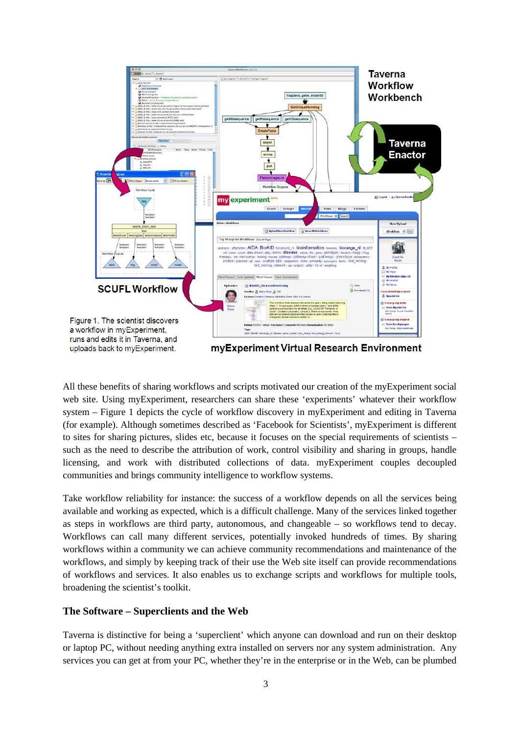

All these benefits of sharing workflows and scripts motivated our creation of the myExperiment social web site. Using myExperiment, researchers can share these 'experiments' whatever their workflow system – Figure 1 depicts the cycle of workflow discovery in myExperiment and editing in Taverna (for example). Although sometimes described as 'Facebook for Scientists', myExperiment is different to sites for sharing pictures, slides etc, because it focuses on the special requirements of scientists – such as the need to describe the attribution of work, control visibility and sharing in groups, handle licensing, and work with distributed collections of data. myExperiment couples decoupled communities and brings community intelligence to workflow systems.

Take workflow reliability for instance: the success of a workflow depends on all the services being available and working as expected, which is a difficult challenge. Many of the services linked together as steps in workflows are third party, autonomous, and changeable – so workflows tend to decay. Workflows can call many different services, potentially invoked hundreds of times. By sharing workflows within a community we can achieve community recommendations and maintenance of the workflows, and simply by keeping track of their use the Web site itself can provide recommendations of workflows and services. It also enables us to exchange scripts and workflows for multiple tools, broadening the scientist's toolkit.

#### **The Software – Superclients and the Web**

Taverna is distinctive for being a 'superclient' which anyone can download and run on their desktop or laptop PC, without needing anything extra installed on servers nor any system administration. Any services you can get at from your PC, whether they're in the enterprise or in the Web, can be plumbed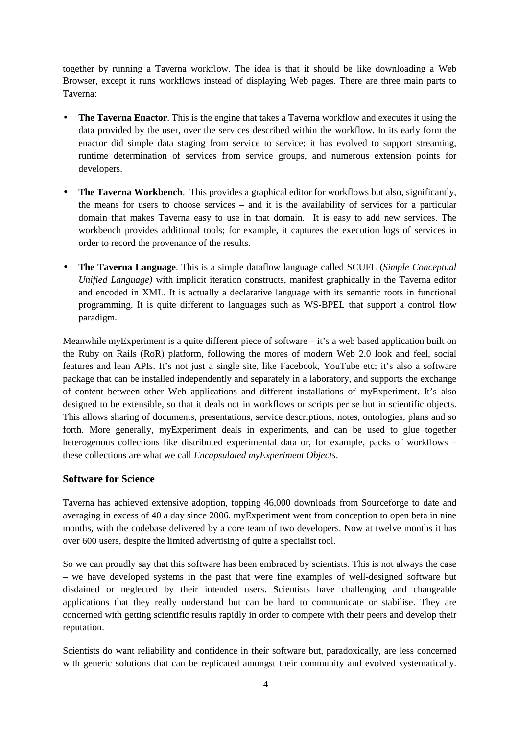together by running a Taverna workflow. The idea is that it should be like downloading a Web Browser, except it runs workflows instead of displaying Web pages. There are three main parts to Taverna:

- **The Taverna Enactor**. This is the engine that takes a Taverna workflow and executes it using the data provided by the user, over the services described within the workflow. In its early form the enactor did simple data staging from service to service; it has evolved to support streaming, runtime determination of services from service groups, and numerous extension points for developers.
- **The Taverna Workbench**. This provides a graphical editor for workflows but also, significantly, the means for users to choose services – and it is the availability of services for a particular domain that makes Taverna easy to use in that domain. It is easy to add new services. The workbench provides additional tools; for example, it captures the execution logs of services in order to record the provenance of the results.
- **The Taverna Language**. This is a simple dataflow language called SCUFL (*Simple Conceptual Unified Language)* with implicit iteration constructs, manifest graphically in the Taverna editor and encoded in XML. It is actually a declarative language with its semantic roots in functional programming. It is quite different to languages such as WS-BPEL that support a control flow paradigm.

Meanwhile myExperiment is a quite different piece of software – it's a web based application built on the Ruby on Rails (RoR) platform, following the mores of modern Web 2.0 look and feel, social features and lean APIs. It's not just a single site, like Facebook, YouTube etc; it's also a software package that can be installed independently and separately in a laboratory, and supports the exchange of content between other Web applications and different installations of myExperiment. It's also designed to be extensible, so that it deals not in workflows or scripts per se but in scientific objects. This allows sharing of documents, presentations, service descriptions, notes, ontologies, plans and so forth. More generally, myExperiment deals in experiments, and can be used to glue together heterogenous collections like distributed experimental data or, for example, packs of workflows – these collections are what we call *Encapsulated myExperiment Objects*.

#### **Software for Science**

Taverna has achieved extensive adoption, topping 46,000 downloads from Sourceforge to date and averaging in excess of 40 a day since 2006. myExperiment went from conception to open beta in nine months, with the codebase delivered by a core team of two developers. Now at twelve months it has over 600 users, despite the limited advertising of quite a specialist tool.

So we can proudly say that this software has been embraced by scientists. This is not always the case – we have developed systems in the past that were fine examples of well-designed software but disdained or neglected by their intended users. Scientists have challenging and changeable applications that they really understand but can be hard to communicate or stabilise. They are concerned with getting scientific results rapidly in order to compete with their peers and develop their reputation.

Scientists do want reliability and confidence in their software but, paradoxically, are less concerned with generic solutions that can be replicated amongst their community and evolved systematically.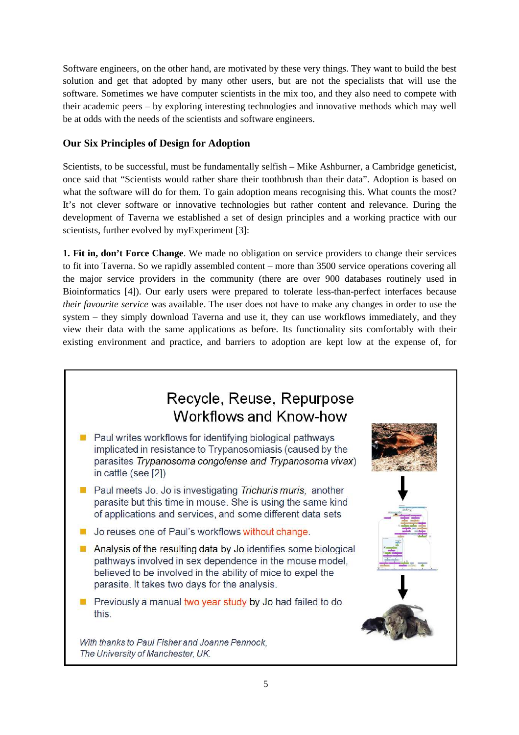Software engineers, on the other hand, are motivated by these very things. They want to build the best solution and get that adopted by many other users, but are not the specialists that will use the software. Sometimes we have computer scientists in the mix too, and they also need to compete with their academic peers – by exploring interesting technologies and innovative methods which may well be at odds with the needs of the scientists and software engineers.

#### **Our Six Principles of Design for Adoption**

Scientists, to be successful, must be fundamentally selfish – Mike Ashburner, a Cambridge geneticist, once said that "Scientists would rather share their toothbrush than their data". Adoption is based on what the software will do for them. To gain adoption means recognising this. What counts the most? It's not clever software or innovative technologies but rather content and relevance. During the development of Taverna we established a set of design principles and a working practice with our scientists, further evolved by myExperiment [3]:

**1. Fit in, don't Force Change**. We made no obligation on service providers to change their services to fit into Taverna. So we rapidly assembled content – more than 3500 service operations covering all the major service providers in the community (there are over 900 databases routinely used in Bioinformatics [4]). Our early users were prepared to tolerate less-than-perfect interfaces because *their favourite service* was available. The user does not have to make any changes in order to use the system – they simply download Taverna and use it, they can use workflows immediately, and they view their data with the same applications as before. Its functionality sits comfortably with their existing environment and practice, and barriers to adoption are kept low at the expense of, for

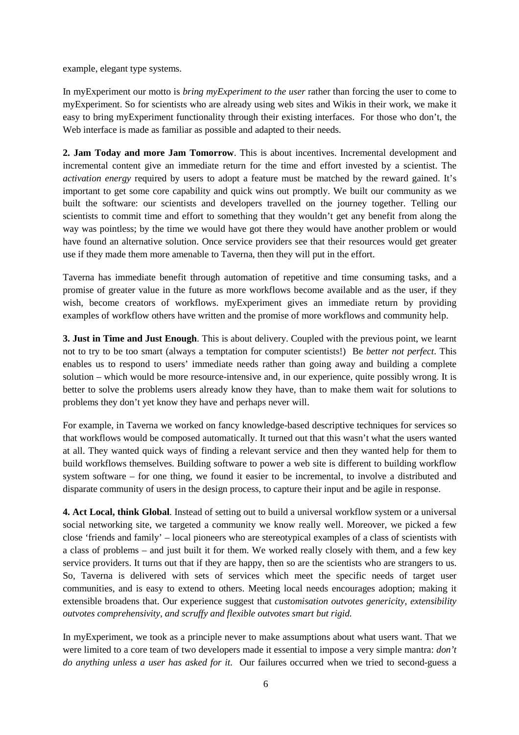example, elegant type systems.

In myExperiment our motto is *bring myExperiment to the user* rather than forcing the user to come to myExperiment. So for scientists who are already using web sites and Wikis in their work, we make it easy to bring myExperiment functionality through their existing interfaces. For those who don't, the Web interface is made as familiar as possible and adapted to their needs.

**2. Jam Today and more Jam Tomorrow**. This is about incentives. Incremental development and incremental content give an immediate return for the time and effort invested by a scientist. The *activation energy* required by users to adopt a feature must be matched by the reward gained. It's important to get some core capability and quick wins out promptly. We built our community as we built the software: our scientists and developers travelled on the journey together. Telling our scientists to commit time and effort to something that they wouldn't get any benefit from along the way was pointless; by the time we would have got there they would have another problem or would have found an alternative solution. Once service providers see that their resources would get greater use if they made them more amenable to Taverna, then they will put in the effort.

Taverna has immediate benefit through automation of repetitive and time consuming tasks, and a promise of greater value in the future as more workflows become available and as the user, if they wish, become creators of workflows. myExperiment gives an immediate return by providing examples of workflow others have written and the promise of more workflows and community help.

**3. Just in Time and Just Enough**. This is about delivery. Coupled with the previous point, we learnt not to try to be too smart (always a temptation for computer scientists!) Be *better not perfect*. This enables us to respond to users' immediate needs rather than going away and building a complete solution – which would be more resource-intensive and, in our experience, quite possibly wrong. It is better to solve the problems users already know they have, than to make them wait for solutions to problems they don't yet know they have and perhaps never will.

For example, in Taverna we worked on fancy knowledge-based descriptive techniques for services so that workflows would be composed automatically. It turned out that this wasn't what the users wanted at all. They wanted quick ways of finding a relevant service and then they wanted help for them to build workflows themselves. Building software to power a web site is different to building workflow system software – for one thing, we found it easier to be incremental, to involve a distributed and disparate community of users in the design process, to capture their input and be agile in response.

**4. Act Local, think Global**. Instead of setting out to build a universal workflow system or a universal social networking site, we targeted a community we know really well. Moreover, we picked a few close 'friends and family' – local pioneers who are stereotypical examples of a class of scientists with a class of problems – and just built it for them. We worked really closely with them, and a few key service providers. It turns out that if they are happy, then so are the scientists who are strangers to us. So, Taverna is delivered with sets of services which meet the specific needs of target user communities, and is easy to extend to others. Meeting local needs encourages adoption; making it extensible broadens that. Our experience suggest that *customisation outvotes genericity, extensibility outvotes comprehensivity, and scruffy and flexible outvotes smart but rigid.* 

In myExperiment, we took as a principle never to make assumptions about what users want. That we were limited to a core team of two developers made it essential to impose a very simple mantra: *don't do anything unless a user has asked for it.* Our failures occurred when we tried to second-guess a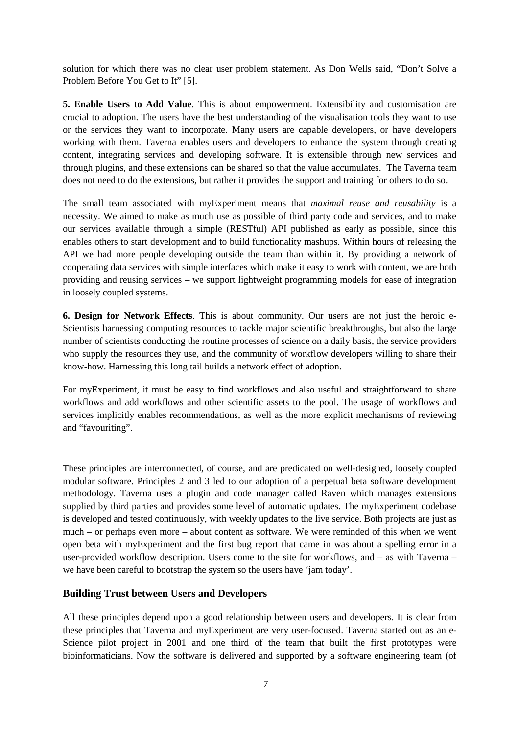solution for which there was no clear user problem statement. As Don Wells said, "Don't Solve a Problem Before You Get to It" [5].

**5. Enable Users to Add Value**. This is about empowerment. Extensibility and customisation are crucial to adoption. The users have the best understanding of the visualisation tools they want to use or the services they want to incorporate. Many users are capable developers, or have developers working with them. Taverna enables users and developers to enhance the system through creating content, integrating services and developing software. It is extensible through new services and through plugins, and these extensions can be shared so that the value accumulates. The Taverna team does not need to do the extensions, but rather it provides the support and training for others to do so.

The small team associated with myExperiment means that *maximal reuse and reusability* is a necessity. We aimed to make as much use as possible of third party code and services, and to make our services available through a simple (RESTful) API published as early as possible, since this enables others to start development and to build functionality mashups. Within hours of releasing the API we had more people developing outside the team than within it. By providing a network of cooperating data services with simple interfaces which make it easy to work with content, we are both providing and reusing services – we support lightweight programming models for ease of integration in loosely coupled systems.

**6. Design for Network Effects**. This is about community. Our users are not just the heroic e-Scientists harnessing computing resources to tackle major scientific breakthroughs, but also the large number of scientists conducting the routine processes of science on a daily basis, the service providers who supply the resources they use, and the community of workflow developers willing to share their know-how. Harnessing this long tail builds a network effect of adoption.

For myExperiment, it must be easy to find workflows and also useful and straightforward to share workflows and add workflows and other scientific assets to the pool. The usage of workflows and services implicitly enables recommendations, as well as the more explicit mechanisms of reviewing and "favouriting".

These principles are interconnected, of course, and are predicated on well-designed, loosely coupled modular software. Principles 2 and 3 led to our adoption of a perpetual beta software development methodology. Taverna uses a plugin and code manager called Raven which manages extensions supplied by third parties and provides some level of automatic updates. The myExperiment codebase is developed and tested continuously, with weekly updates to the live service. Both projects are just as much – or perhaps even more – about content as software. We were reminded of this when we went open beta with myExperiment and the first bug report that came in was about a spelling error in a user-provided workflow description. Users come to the site for workflows, and – as with Taverna – we have been careful to bootstrap the system so the users have 'jam today'.

#### **Building Trust between Users and Developers**

All these principles depend upon a good relationship between users and developers. It is clear from these principles that Taverna and myExperiment are very user-focused. Taverna started out as an e-Science pilot project in 2001 and one third of the team that built the first prototypes were bioinformaticians. Now the software is delivered and supported by a software engineering team (of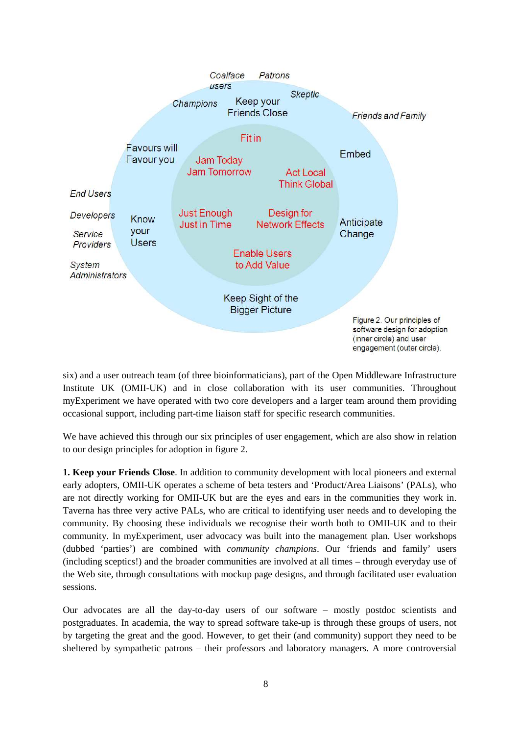

six) and a user outreach team (of three bioinformaticians), part of the Open Middleware Infrastructure Institute UK (OMII-UK) and in close collaboration with its user communities. Throughout myExperiment we have operated with two core developers and a larger team around them providing occasional support, including part-time liaison staff for specific research communities.

We have achieved this through our six principles of user engagement, which are also show in relation to our design principles for adoption in figure 2.

**1. Keep your Friends Close**. In addition to community development with local pioneers and external early adopters, OMII-UK operates a scheme of beta testers and 'Product/Area Liaisons' (PALs), who are not directly working for OMII-UK but are the eyes and ears in the communities they work in. Taverna has three very active PALs, who are critical to identifying user needs and to developing the community. By choosing these individuals we recognise their worth both to OMII-UK and to their community. In myExperiment, user advocacy was built into the management plan. User workshops (dubbed 'parties') are combined with *community champions*. Our 'friends and family' users (including sceptics!) and the broader communities are involved at all times – through everyday use of the Web site, through consultations with mockup page designs, and through facilitated user evaluation sessions.

Our advocates are all the day-to-day users of our software – mostly postdoc scientists and postgraduates. In academia, the way to spread software take-up is through these groups of users, not by targeting the great and the good. However, to get their (and community) support they need to be sheltered by sympathetic patrons – their professors and laboratory managers. A more controversial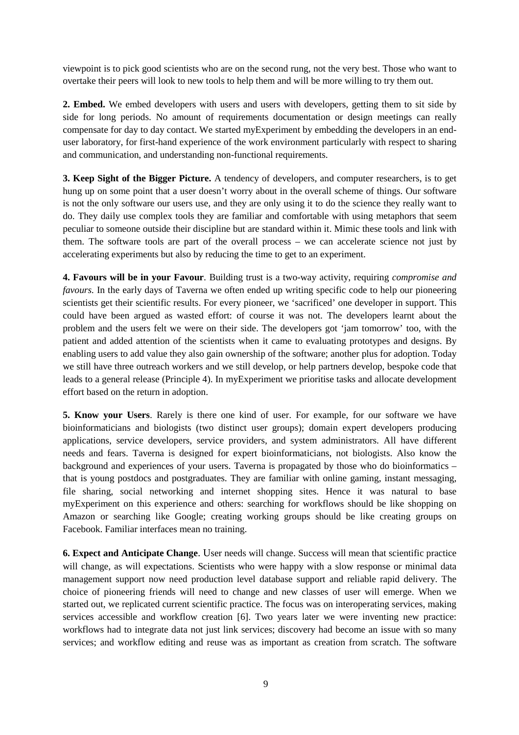viewpoint is to pick good scientists who are on the second rung, not the very best. Those who want to overtake their peers will look to new tools to help them and will be more willing to try them out.

**2. Embed.** We embed developers with users and users with developers, getting them to sit side by side for long periods. No amount of requirements documentation or design meetings can really compensate for day to day contact. We started myExperiment by embedding the developers in an enduser laboratory, for first-hand experience of the work environment particularly with respect to sharing and communication, and understanding non-functional requirements.

**3. Keep Sight of the Bigger Picture.** A tendency of developers, and computer researchers, is to get hung up on some point that a user doesn't worry about in the overall scheme of things. Our software is not the only software our users use, and they are only using it to do the science they really want to do. They daily use complex tools they are familiar and comfortable with using metaphors that seem peculiar to someone outside their discipline but are standard within it. Mimic these tools and link with them. The software tools are part of the overall process – we can accelerate science not just by accelerating experiments but also by reducing the time to get to an experiment.

**4. Favours will be in your Favour**. Building trust is a two-way activity, requiring *compromise and favours.* In the early days of Taverna we often ended up writing specific code to help our pioneering scientists get their scientific results. For every pioneer, we 'sacrificed' one developer in support. This could have been argued as wasted effort: of course it was not. The developers learnt about the problem and the users felt we were on their side. The developers got 'jam tomorrow' too, with the patient and added attention of the scientists when it came to evaluating prototypes and designs. By enabling users to add value they also gain ownership of the software; another plus for adoption. Today we still have three outreach workers and we still develop, or help partners develop, bespoke code that leads to a general release (Principle 4). In myExperiment we prioritise tasks and allocate development effort based on the return in adoption.

**5. Know your Users**. Rarely is there one kind of user. For example, for our software we have bioinformaticians and biologists (two distinct user groups); domain expert developers producing applications, service developers, service providers, and system administrators. All have different needs and fears. Taverna is designed for expert bioinformaticians, not biologists. Also know the background and experiences of your users. Taverna is propagated by those who do bioinformatics – that is young postdocs and postgraduates. They are familiar with online gaming, instant messaging, file sharing, social networking and internet shopping sites. Hence it was natural to base myExperiment on this experience and others: searching for workflows should be like shopping on Amazon or searching like Google; creating working groups should be like creating groups on Facebook. Familiar interfaces mean no training.

**6. Expect and Anticipate Change**. User needs will change. Success will mean that scientific practice will change, as will expectations. Scientists who were happy with a slow response or minimal data management support now need production level database support and reliable rapid delivery. The choice of pioneering friends will need to change and new classes of user will emerge. When we started out, we replicated current scientific practice. The focus was on interoperating services, making services accessible and workflow creation [6]. Two years later we were inventing new practice: workflows had to integrate data not just link services; discovery had become an issue with so many services; and workflow editing and reuse was as important as creation from scratch. The software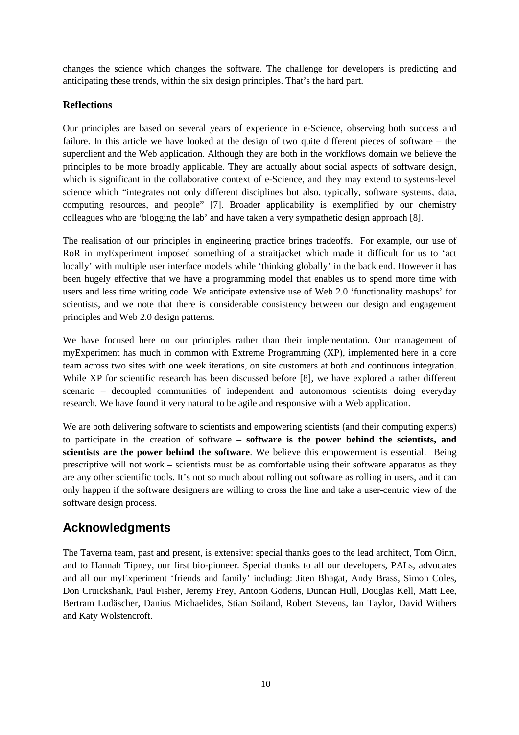changes the science which changes the software. The challenge for developers is predicting and anticipating these trends, within the six design principles. That's the hard part.

#### **Reflections**

Our principles are based on several years of experience in e-Science, observing both success and failure. In this article we have looked at the design of two quite different pieces of software – the superclient and the Web application. Although they are both in the workflows domain we believe the principles to be more broadly applicable. They are actually about social aspects of software design, which is significant in the collaborative context of e-Science, and they may extend to systems-level science which "integrates not only different disciplines but also, typically, software systems, data, computing resources, and people" [7]. Broader applicability is exemplified by our chemistry colleagues who are 'blogging the lab' and have taken a very sympathetic design approach [8].

The realisation of our principles in engineering practice brings tradeoffs. For example, our use of RoR in myExperiment imposed something of a straitjacket which made it difficult for us to 'act locally' with multiple user interface models while 'thinking globally' in the back end. However it has been hugely effective that we have a programming model that enables us to spend more time with users and less time writing code. We anticipate extensive use of Web 2.0 'functionality mashups' for scientists, and we note that there is considerable consistency between our design and engagement principles and Web 2.0 design patterns.

We have focused here on our principles rather than their implementation. Our management of myExperiment has much in common with Extreme Programming (XP), implemented here in a core team across two sites with one week iterations, on site customers at both and continuous integration. While XP for scientific research has been discussed before [8], we have explored a rather different scenario – decoupled communities of independent and autonomous scientists doing everyday research. We have found it very natural to be agile and responsive with a Web application.

We are both delivering software to scientists and empowering scientists (and their computing experts) to participate in the creation of software – **software is the power behind the scientists, and scientists are the power behind the software**. We believe this empowerment is essential. Being prescriptive will not work – scientists must be as comfortable using their software apparatus as they are any other scientific tools. It's not so much about rolling out software as rolling in users, and it can only happen if the software designers are willing to cross the line and take a user-centric view of the software design process.

## **Acknowledgments**

The Taverna team, past and present, is extensive: special thanks goes to the lead architect, Tom Oinn, and to Hannah Tipney, our first bio-pioneer. Special thanks to all our developers, PALs, advocates and all our myExperiment 'friends and family' including: Jiten Bhagat, Andy Brass, Simon Coles, Don Cruickshank, Paul Fisher, Jeremy Frey, Antoon Goderis, Duncan Hull, Douglas Kell, Matt Lee, Bertram Ludäscher, Danius Michaelides, Stian Soiland, Robert Stevens, Ian Taylor, David Withers and Katy Wolstencroft.